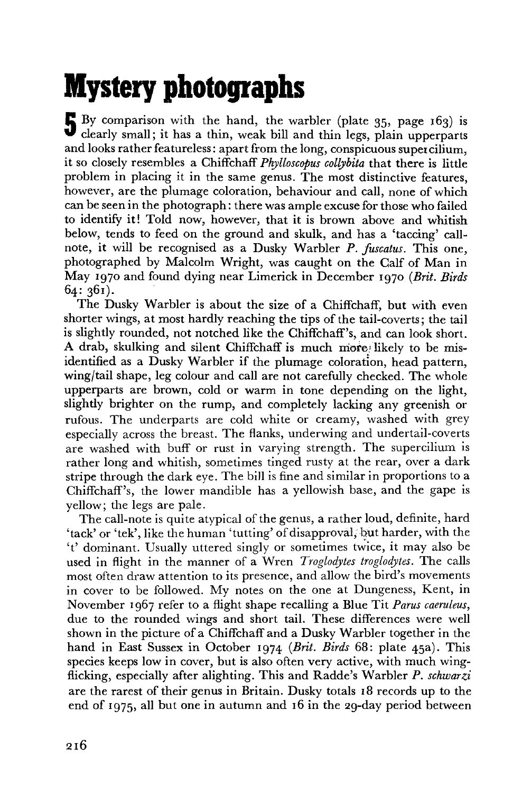## **Mystery photographs**

By comparison with the hand, the warbler (plate 35, page 163) is clearly small; it has a thin, weak bill and thin legs, plain upperparts By comparison with the hand, the warbler (plate 35, page 163) is and looks rather featureless: apart from the long, conspicuous super cilium, it so closely resembles a Chiffchaff *Phylloscopus collybita* that there is little problem in placing it in the same genus. The most distinctive features, however, are the plumage coloration, behaviour and call, none of which can be seen in the photograph: there was ample excuse for those who failed to identify it! Told now, however, that it is brown above and whitish below, tends to feed on the ground and skulk, and has a 'taccing' callnote, it will be recognised as a Dusky Warbler *P. fuscatus.* This one, photographed by Malcolm Wright, was caught on the Calf of Man in May 1970 and found dying near Limerick in December 1970 *(Brit. Birds*  64: 361).

The Dusky Warbler is about the size of a Chiffchaff, but with even shorter wings, at most hardly reaching the tips of the tail-coverts; the tail is slightly rounded, not notched like the Chiffchaff's, and can look short. A drab, skulking and silent Chiffchaff is much more,' likely to be misidentified as a Dusky Warbler if the plumage coloration, head pattern, wing/tail shape, leg colour and call are not carefully checked. The whole upperparts are brown, cold or warm in tone depending on the light, slightly brighter on the rump, and completely lacking any greenish or rufous. The underparts are cold white or creamy, washed with grey especially across the breast. The flanks, underwing and undertail-coverts are washed with buff or rust in varying strength. The supercilium is rather long and whitish, sometimes tinged rusty at the rear, over a dark stripe through the dark eye. The bill is fine and similar in proportions to a Chiffchaff's, the lower mandible has a yellowish base, and the gape is yellow; the legs are pale.

The call-note is quite atypical of the genus, a rather loud, definite, hard 'tack' or 'tek', like the human 'tutting' of disapproval, but harder, with the 't' dominant. Usually uttered singly or sometimes twice, it may also be used in flight in the manner of a Wren *Troglodytes troglodytes.* The calls most often draw attention to its presence, and allow the bird's movements in cover to be followed. My notes on the one at Dungeness, Kent, in November 1967 refer to a flight shape recalling a Blue Tit *Parus caeruleus,*  due to the rounded wings and short tail. These differences were well shown in the picture of a Chiffchaff and a Dusky Warbler together in the hand in East Sussex in October 1974 *(Brit. Birds* 68: plate 45a). This species keeps low in cover, but is also often very active, with much wingflicking, especially after alighting. This and Radde's Warbler *P. schwarzi*  are the rarest of their genus in Britain. Dusky totals 18 records up to the end of 1975, all but one in autumn and 16 in the 29-day period between